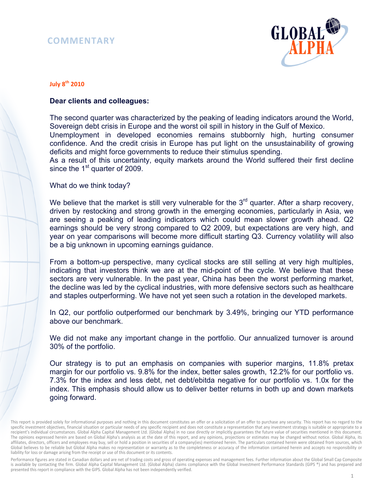## **COMMENTARY**



## **July 8th 2010**

## **Dear clients and colleagues:**

The second quarter was characterized by the peaking of leading indicators around the World, Sovereign debt crisis in Europe and the worst oil spill in history in the Gulf of Mexico. Unemployment in developed economies remains stubbornly high, hurting consumer confidence. And the credit crisis in Europe has put light on the unsustainability of growing deficits and might force governments to reduce their stimulus spending. As a result of this uncertainty, equity markets around the World suffered their first decline since the 1<sup>st</sup> quarter of 2009.

What do we think today?

We believe that the market is still very vulnerable for the  $3<sup>rd</sup>$  quarter. After a sharp recovery, driven by restocking and strong growth in the emerging economies, particularly in Asia, we are seeing a peaking of leading indicators which could mean slower growth ahead. Q2 earnings should be very strong compared to Q2 2009, but expectations are very high, and year on year comparisons will become more difficult starting Q3. Currency volatility will also be a big unknown in upcoming earnings guidance.

From a bottom-up perspective, many cyclical stocks are still selling at very high multiples, indicating that investors think we are at the mid-point of the cycle. We believe that these sectors are very vulnerable. In the past year, China has been the worst performing market, the decline was led by the cyclical industries, with more defensive sectors such as healthcare and staples outperforming. We have not yet seen such a rotation in the developed markets.

In Q2, our portfolio outperformed our benchmark by 3.49%, bringing our YTD performance above our benchmark.

We did not make any important change in the portfolio. Our annualized turnover is around 30% of the portfolio.

Our strategy is to put an emphasis on companies with superior margins, 11.8% pretax margin for our portfolio vs. 9.8% for the index, better sales growth, 12.2% for our portfolio vs. 7.3% for the index and less debt, net debt/ebitda negative for our portfolio vs. 1.0x for the index. This emphasis should allow us to deliver better returns in both up and down markets going forward.

Performance figures are stated in Canadian dollars and are net of trading costs and gross of operating expenses and management fees. Further information about the Global Small Cap Composite is available by contacting the firm. Global Alpha Capital Management Ltd. (Global Alpha) claims compliance with the Global Investment Performance Standards (GIPS ®) and has prepared and presented this report in compliance with the GIPS. Global Alpha has not been independently verified.

This report is provided solely for informational purposes and nothing in this document constitutes an offer or a solicitation of an offer to purchase any security. This report has no regard to the specific investment objectives, financial situation or particular needs of any specific recipient and does not constitute a representation that any investment strategy is suitable or appropriate to a recipient's individual circumstances. Global Alpha Capital Management Ltd. (Global Alpha) in no case directly or implicitly guarantees the future value of securities mentioned in this document. The opinions expressed herein are based on Global Alpha's analysis as at the date of this report, and any opinions, projections or estimates may be changed without notice. Global Alpha, its affiliates, directors, officers and employees may buy, sell or hold a position in securities of a company(ies) mentioned herein. The particulars contained herein were obtained from sources, which Global believes to be reliable but Global Alpha makes no representation or warranty as to the completeness or accuracy of the information contained herein and accepts no responsibility or liability for loss or damage arising from the receipt or use of this document or its contents.